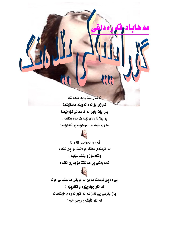فه گه رييت وايه بيده نگم ئاوازێ بۆ ئەم ئەوينە ناسازێنم! يان پِيّت وابيّ له ئاسماني گۆرانيمدا بۆ بوژانه و ەي دێبە رى سۆزەكانت. . هه ورم نييه و. . مرواريت بوّ ناباريّنم!



گه ر وا د ه زانی شه وانه له تريفهى مانگ جۆلانێت بۆ چێ ناكه م وشكه سۆز و وشكه سۆفيم. . نامه يه کی پِرِ عه شقت بۆ به رِێ ناکه م

پێ ده چێ گومانت هه بێ له بوونی هه میشه یی خوّت له ناو چوارچِيْوه و تانوپِوْم { يان بترسي ييّ نه زانم له تووانه وهي موّمئاسات له ناو کلّیشه و ړوّحی خوّم!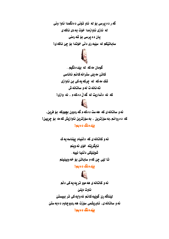گه ر ده پرسی بۆ له ناو تۆنی ده نگمدا ئاوا ونی له نازی ئاوازمدا خۆت به دی ناکه ی يان ده پرسي بۆ شەرمنى ساباتێکم له سێبه ری دڵی خوّتدا بوّ چێ ناکه یْ ۱



گومان مه که له بیده نگیم.. کاتیٰ مه یلی سترانه کانم ناناسی شک مه که له چرکه یه کی بیّ ئاوازی ته نانه ت له و ساتانه ش که نه دنداريت نه گه نّ دهکهم ، نه وازی!



ئه و ساتانه ي كه هه ست ده كه م گه ردوون بچووكه بوّ فرين. که ده روانم،به سۆزترین ، به سۆزترین ئاوازیش که مه بۆ چریین! يێدەنگ دەبم?

> ئه و کاتانه ی که دٽنيام پيٽناسه په ک نايگريٽه خۆي ئەوينم شوێنێکي دٽنيا نييه . تا ليّي چيّ که م ساباتيّ بوّ خه وبينينم

يٽده نگ ده بم (



ئه و کاتانه ی هه موو تر په یه کی دٽم ناوت ديني ليُناگه ريّ گويّيه کانم نه وايه کي تر ببيستيّ ئه و ساتانه ی، ناوریشمی سۆزت هه ردووچاوم د ه به ستیّ يبّده نگ ده بم ۱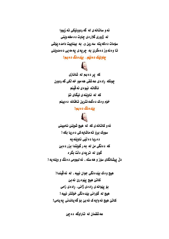ئه و ساتانه ی له گه ردوونیکی ته زبووا له ژووري گلارهي چاوت ده مخه وينني سۆمات دەكەيتە سەرين و، بە بيناييت دامدە يۆشى تا وه نه وز د ممگرێ به چريه ی يه مه يی د ه مدوينی

## چاولێک دهنێم.. بێدهنگ ده بم!



كه يړ ده بم له شانازى چونکه رادهی عه شقی هه موو خه نکی گه ردوون ناگاته نيوهي ئه ڤينم که له ئاوتنهى نېگاى تۆ خۆم وهک دمگمه نترین تاقانه ده بینم

## يێدەنگ دەبم!



ئه و کاتانه ی که له هیچ شوننیّ نامیبنی سووک برو ته ماشايه کی ده ريا بکه ۱ د ه ريا د ه نَيّي ناوينه په که دهنگی من له به رگویتدا بزر دهبی گوێ له تریه ی دڵت بگر ه دلٌ پیشانگای سوّز و هه سته ، ئه لبوومی د هنگ و ویّنه یه ۱

هيج وه ک بيّده نگي جوان نييه ، له ئه ڤيندا! كانٽ هيچ پيوه ريٰ نه بيُ بۆ يېوانه ي راد دي ژاني، راد دي زامي هيچ له گۆراني بيّدەنگى خۆشتر نييه ! کانٽ هيچ نه وايه ک نه بيّ بوّ گه ياندني په يامي (